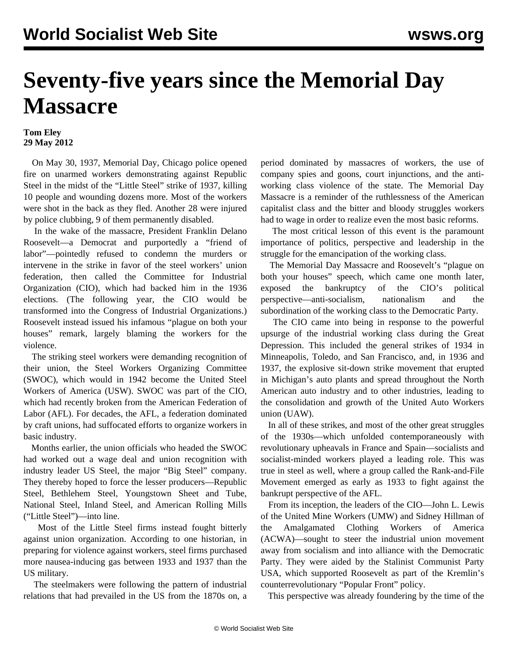## **Seventy-five years since the Memorial Day Massacre**

## **Tom Eley 29 May 2012**

 On May 30, 1937, Memorial Day, Chicago police opened fire on unarmed workers demonstrating against Republic Steel in the midst of the "Little Steel" strike of 1937, killing 10 people and wounding dozens more. Most of the workers were shot in the back as they fled. Another 28 were injured by police clubbing, 9 of them permanently disabled.

 In the wake of the massacre, President Franklin Delano Roosevelt—a Democrat and purportedly a "friend of labor"—pointedly refused to condemn the murders or intervene in the strike in favor of the steel workers' union federation, then called the Committee for Industrial Organization (CIO), which had backed him in the 1936 elections. (The following year, the CIO would be transformed into the Congress of Industrial Organizations.) Roosevelt instead issued his infamous "plague on both your houses" remark, largely blaming the workers for the violence.

 The striking steel workers were demanding recognition of their union, the Steel Workers Organizing Committee (SWOC), which would in 1942 become the United Steel Workers of America (USW). SWOC was part of the CIO, which had recently broken from the American Federation of Labor (AFL). For decades, the AFL, a federation dominated by craft unions, had suffocated efforts to organize workers in basic industry.

 Months earlier, the union officials who headed the SWOC had worked out a wage deal and union recognition with industry leader US Steel, the major "Big Steel" company. They thereby hoped to force the lesser producers—Republic Steel, Bethlehem Steel, Youngstown Sheet and Tube, National Steel, Inland Steel, and American Rolling Mills ("Little Steel")—into line.

 Most of the Little Steel firms instead fought bitterly against union organization. According to one historian, in preparing for violence against workers, steel firms purchased more nausea-inducing gas between 1933 and 1937 than the US military.

 The steelmakers were following the pattern of industrial relations that had prevailed in the US from the 1870s on, a period dominated by massacres of workers, the use of company spies and goons, court injunctions, and the antiworking class violence of the state. The Memorial Day Massacre is a reminder of the ruthlessness of the American capitalist class and the bitter and bloody struggles workers had to wage in order to realize even the most basic reforms.

 The most critical lesson of this event is the paramount importance of politics, perspective and leadership in the struggle for the emancipation of the working class.

 The Memorial Day Massacre and Roosevelt's "plague on both your houses" speech, which came one month later, exposed the bankruptcy of the CIO's political perspective—anti-socialism, nationalism and the subordination of the working class to the Democratic Party.

 The CIO came into being in response to the powerful upsurge of the industrial working class during the Great Depression. This included the general strikes of 1934 in Minneapolis, Toledo, and San Francisco, and, in 1936 and 1937, the explosive sit-down strike movement that erupted in Michigan's auto plants and spread throughout the North American auto industry and to other industries, leading to the consolidation and growth of the United Auto Workers union (UAW).

 In all of these strikes, and most of the other great struggles of the 1930s—which unfolded contemporaneously with revolutionary upheavals in France and Spain—socialists and socialist-minded workers played a leading role. This was true in steel as well, where a group called the Rank-and-File Movement emerged as early as 1933 to fight against the bankrupt perspective of the AFL.

 From its inception, the leaders of the CIO—John L. Lewis of the United Mine Workers (UMW) and Sidney Hillman of the Amalgamated Clothing Workers of America (ACWA)—sought to steer the industrial union movement away from socialism and into alliance with the Democratic Party. They were aided by the Stalinist Communist Party USA, which supported Roosevelt as part of the Kremlin's counterrevolutionary "Popular Front" policy.

This perspective was already foundering by the time of the